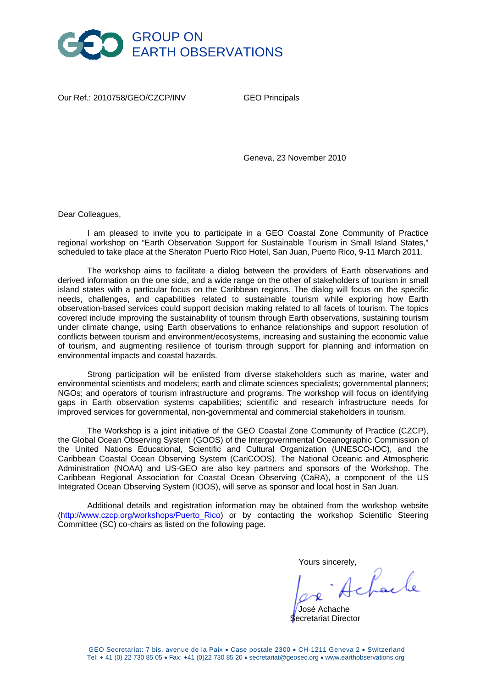

Our Ref.: 2010758/GEO/CZCP/INV GEO Principals

Geneva, 23 November 2010

Dear Colleagues,

I am pleased to invite you to participate in a GEO Coastal Zone Community of Practice regional workshop on "Earth Observation Support for Sustainable Tourism in Small Island States," scheduled to take place at the Sheraton Puerto Rico Hotel, San Juan, Puerto Rico, 9-11 March 2011.

The workshop aims to facilitate a dialog between the providers of Earth observations and derived information on the one side, and a wide range on the other of stakeholders of tourism in small island states with a particular focus on the Caribbean regions. The dialog will focus on the specific needs, challenges, and capabilities related to sustainable tourism while exploring how Earth observation-based services could support decision making related to all facets of tourism. The topics covered include improving the sustainability of tourism through Earth observations, sustaining tourism under climate change, using Earth observations to enhance relationships and support resolution of conflicts between tourism and environment/ecosystems, increasing and sustaining the economic value of tourism, and augmenting resilience of tourism through support for planning and information on environmental impacts and coastal hazards.

Strong participation will be enlisted from diverse stakeholders such as marine, water and environmental scientists and modelers; earth and climate sciences specialists; governmental planners; NGOs; and operators of tourism infrastructure and programs. The workshop will focus on identifying gaps in Earth observation systems capabilities; scientific and research infrastructure needs for improved services for governmental, non-governmental and commercial stakeholders in tourism.

The Workshop is a joint initiative of the GEO Coastal Zone Community of Practice (CZCP), the Global Ocean Observing System (GOOS) of the Intergovernmental Oceanographic Commission of the United Nations Educational, Scientific and Cultural Organization (UNESCO-IOC), and the Caribbean Coastal Ocean Observing System (CariCOOS). The National Oceanic and Atmospheric Administration (NOAA) and US-GEO are also key partners and sponsors of the Workshop. The Caribbean Regional Association for Coastal Ocean Observing (CaRA), a component of the US Integrated Ocean Observing System (IOOS), will serve as sponsor and local host in San Juan.

Additional details and registration information may be obtained from the workshop website [\(http://www.czcp.org/workshops/Puerto\\_Rico\)](http://www.czcp.org/workshops/Cotonou/) or by contacting the workshop Scientific Steering Committee (SC) co-chairs as listed on the following page.

Yours sincerely,<br> $\int$   $\mathcal{L}$   $\int_{\mathcal{L}^2}$   $\int_{\mathcal{L}^2}$ 

 José Achache Secretariat Director